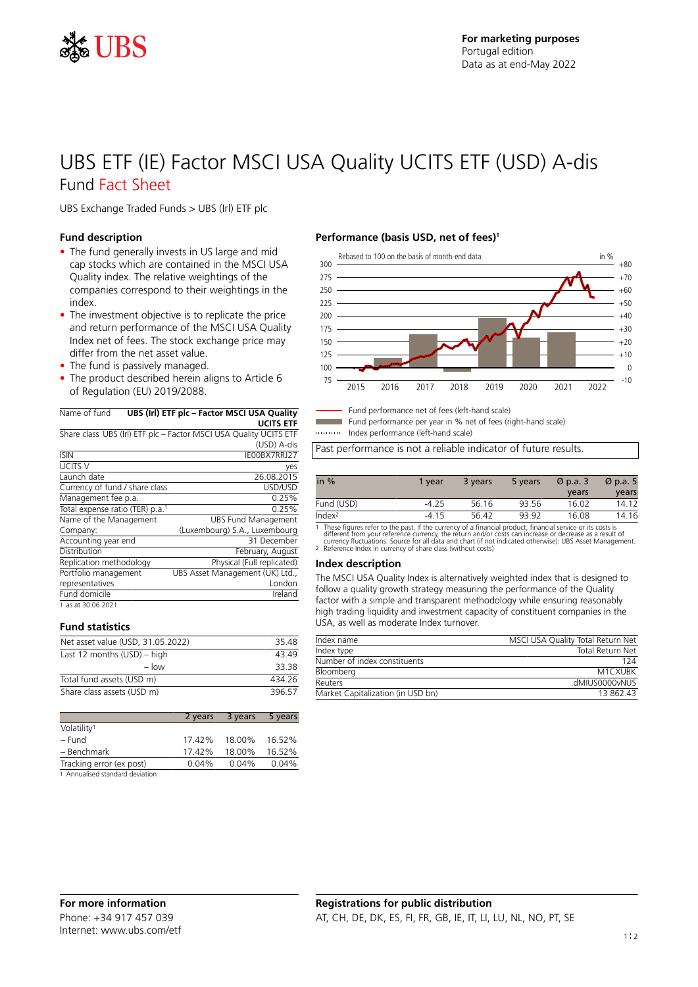

## UBS ETF (IE) Factor MSCI USA Quality UCITS ETF (USD) A-dis Fund Fact Sheet

UBS Exchange Traded Funds > UBS (Irl) ETF plc

### **Fund description**

- The fund generally invests in US large and mid cap stocks which are contained in the MSCI USA Quality index. The relative weightings of the companies correspond to their weightings in the index.
- The investment objective is to replicate the price and return performance of the MSCI USA Quality Index net of fees. The stock exchange price may differ from the net asset value.
- The fund is passively managed.
- The product described herein aligns to Article 6 of Regulation (EU) 2019/2088.

### Name of fund **UBS (Irl) ETF plc – Factor MSCI USA Quality**

**UCITS ETF** Share class UBS (Irl) ETF plc – Factor MSCI USA Quality UCITS ETF

|                                             | (USD) A-dis                     |
|---------------------------------------------|---------------------------------|
| <b>ISIN</b>                                 | IE00BX7RRJ27                    |
| <b>UCITS V</b>                              | yes                             |
| Launch date                                 | 26.08.2015                      |
| Currency of fund / share class              | USD/USD                         |
| Management fee p.a.                         | 0.25%                           |
| Total expense ratio (TER) p.a. <sup>1</sup> | 0.25%                           |
| Name of the Management                      | <b>UBS Fund Management</b>      |
| Company:                                    | (Luxembourg) S.A., Luxembourg   |
| Accounting year end                         | 31 December                     |
| Distribution                                | February, August                |
| Replication methodology                     | Physical (Full replicated)      |
| Portfolio management                        | UBS Asset Management (UK) Ltd., |
| representatives                             | London                          |
| Fund domicile                               | Ireland                         |
| 1 as at 30.06.2021                          |                                 |

### **Fund statistics**

| Net asset value (USD, 31.05.2022) | 3548   |
|-----------------------------------|--------|
| Last 12 months $(USD)$ – high     | 43 49  |
| $-$ low                           | 33.38  |
| Total fund assets (USD m)         | 434 26 |
| Share class assets (USD m)        | 396 57 |

|                                 | 2 years  | 3 years | 5 years |
|---------------------------------|----------|---------|---------|
| Volatility <sup>1</sup>         |          |         |         |
| – Fund                          | 17.42%   | 18.00%  | 16.52%  |
| - Benchmark                     | 1742%    | 18.00%  | 16.52%  |
| Tracking error (ex post)        | $0.04\%$ | 0.04%   | 0.04%   |
| 1 Annualised standard deviation |          |         |         |

### **Performance (basis USD, net of fees)<sup>1</sup>**



Fund performance net of fees (left-hand scale)

Fund performance per year in % net of fees (right-hand scale)

Index performance (left-hand scale)

Past performance is not a reliable indicator of future results.

| in $%$             | 1 vear  | 3 years | 5 years | $\varnothing$ p.a. 3 | $\varnothing$ p.a. 5 |
|--------------------|---------|---------|---------|----------------------|----------------------|
|                    |         |         |         | years                | years                |
| Fund (USD)         | $-4.25$ | 56.16   | 93.56   | 16.02                | 14.12                |
| Index <sup>2</sup> | $-415$  | 56.42   | 93.92   | 16.08                | 14.16                |

1 These figures refer to the past. If the currency of a financial product, financial service or its costs is<br>different from your reference currency, the return and/or costs can increase or decrease as a result of<br>currency

#### **Index description**

The MSCI USA Quality Index is alternatively weighted index that is designed to follow a quality growth strategy measuring the performance of the Quality factor with a simple and transparent methodology while ensuring reasonably high trading liquidity and investment capacity of constituent companies in the USA, as well as moderate Index turnover.

| Index name                        | MSCI USA Quality Total Return Net |
|-----------------------------------|-----------------------------------|
| Index type                        | <b>Total Return Net</b>           |
| Number of index constituents      | 124                               |
| Bloomberg                         | M1CXUBK                           |
| Reuters                           | dMIUS0000vNUS                     |
| Market Capitalization (in USD bn) | 13 862 43                         |